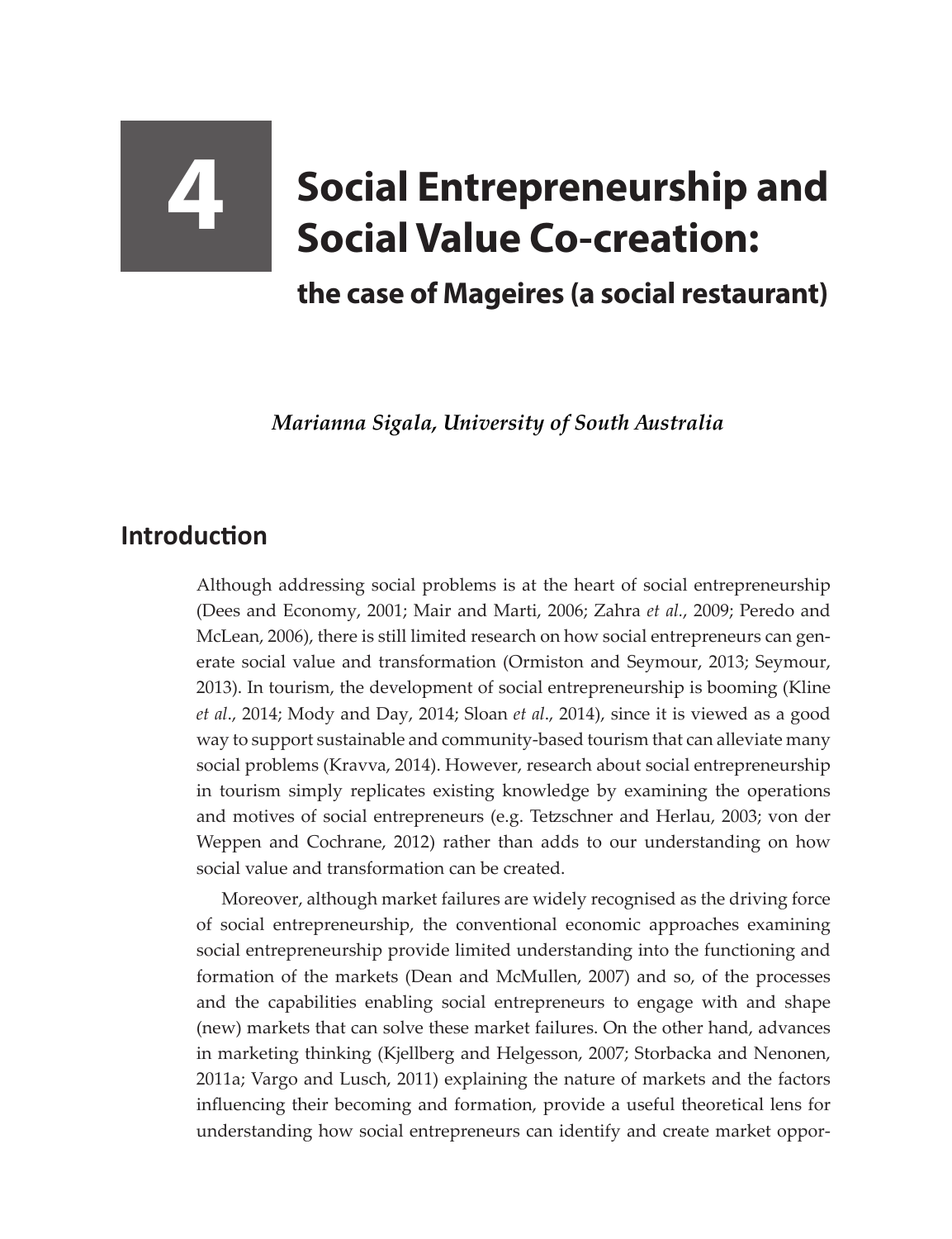## **4 Social Entrepreneurship and Social Value Co-creation:**

**the case of Mageires (a social restaurant)**

*Marianna Sigala, University of South Australia*

## **Introduction**

Although addressing social problems is at the heart of social entrepreneurship (Dees and Economy, 2001; Mair and Marti, 2006; Zahra *et al.*, 2009; Peredo and McLean, 2006), there is still limited research on how social entrepreneurs can generate social value and transformation (Ormiston and Seymour, 2013; Seymour, 2013). In tourism, the development of social entrepreneurship is booming (Kline *et al*., 2014; Mody and Day, 2014; Sloan *et al*., 2014), since it is viewed as a good way to support sustainable and community-based tourism that can alleviate many social problems (Kravva, 2014). However, research about social entrepreneurship in tourism simply replicates existing knowledge by examining the operations and motives of social entrepreneurs (e.g. Tetzschner and Herlau, 2003; von der Weppen and Cochrane, 2012) rather than adds to our understanding on how social value and transformation can be created.

Moreover, although market failures are widely recognised as the driving force of social entrepreneurship, the conventional economic approaches examining social entrepreneurship provide limited understanding into the functioning and formation of the markets (Dean and McMullen, 2007) and so, of the processes and the capabilities enabling social entrepreneurs to engage with and shape (new) markets that can solve these market failures. On the other hand, advances in marketing thinking (Kjellberg and Helgesson, 2007; Storbacka and Nenonen, 2011a; Vargo and Lusch, 2011) explaining the nature of markets and the factors influencing their becoming and formation, provide a useful theoretical lens for understanding how social entrepreneurs can identify and create market oppor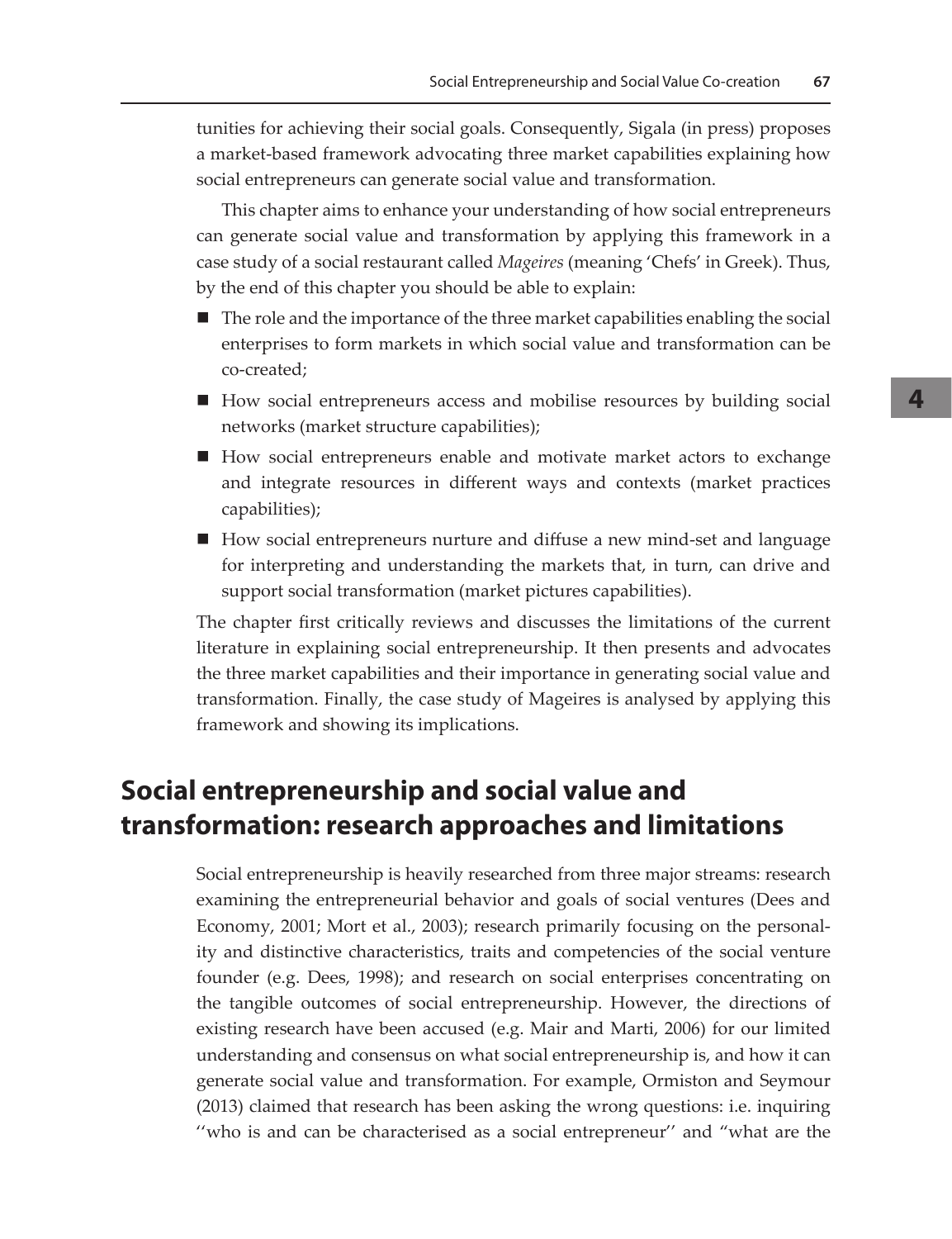tunities for achieving their social goals. Consequently, Sigala (in press) proposes a market-based framework advocating three market capabilities explaining how social entrepreneurs can generate social value and transformation.

This chapter aims to enhance your understanding of how social entrepreneurs can generate social value and transformation by applying this framework in a case study of a social restaurant called *Mageires* (meaning 'Chefs' in Greek). Thus, by the end of this chapter you should be able to explain:

- $\blacksquare$  The role and the importance of the three market capabilities enabling the social enterprises to form markets in which social value and transformation can be co-created;
- How social entrepreneurs access and mobilise resources by building social networks (market structure capabilities);
- How social entrepreneurs enable and motivate market actors to exchange and integrate resources in different ways and contexts (market practices capabilities);
- How social entrepreneurs nurture and diffuse a new mind-set and language for interpreting and understanding the markets that, in turn, can drive and support social transformation (market pictures capabilities).

The chapter first critically reviews and discusses the limitations of the current literature in explaining social entrepreneurship. It then presents and advocates the three market capabilities and their importance in generating social value and transformation. Finally, the case study of Mageires is analysed by applying this framework and showing its implications.

## **Social entrepreneurship and social value and transformation: research approaches and limitations**

Social entrepreneurship is heavily researched from three major streams: research examining the entrepreneurial behavior and goals of social ventures (Dees and Economy, 2001; Mort et al., 2003); research primarily focusing on the personality and distinctive characteristics, traits and competencies of the social venture founder (e.g. Dees, 1998); and research on social enterprises concentrating on the tangible outcomes of social entrepreneurship. However, the directions of existing research have been accused (e.g. Mair and Marti, 2006) for our limited understanding and consensus on what social entrepreneurship is, and how it can generate social value and transformation. For example, Ormiston and Seymour (2013) claimed that research has been asking the wrong questions: i.e. inquiring "who is and can be characterised as a social entrepreneur" and "what are the